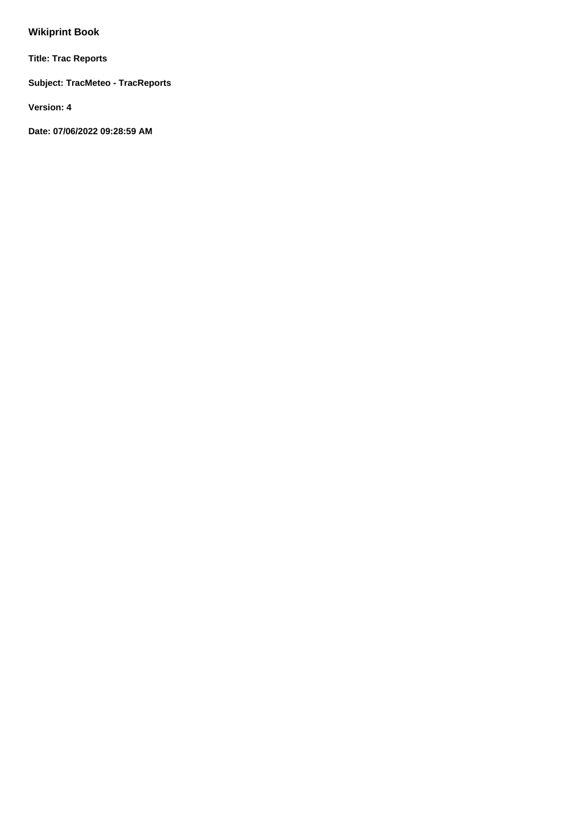# **Wikiprint Book**

**Title: Trac Reports**

**Subject: TracMeteo - TracReports**

**Version: 4**

**Date: 07/06/2022 09:28:59 AM**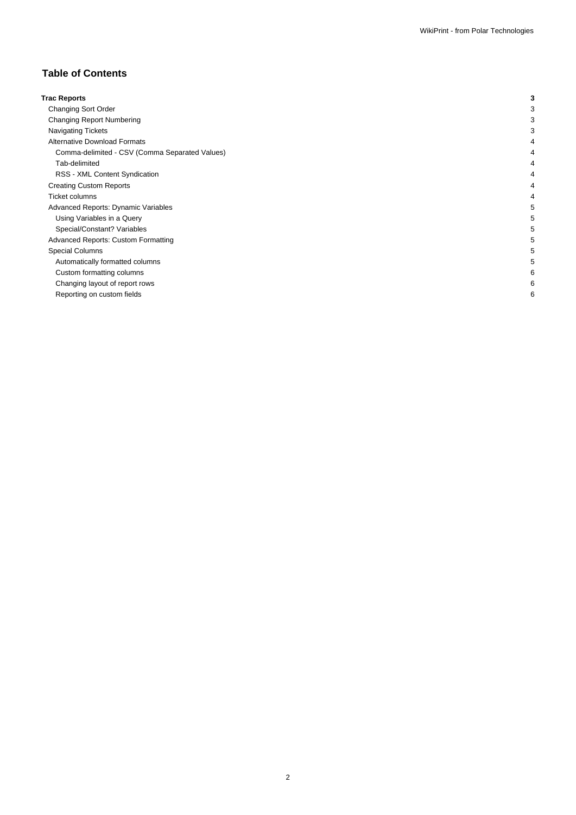## **Table of Contents**

| <b>Trac Reports</b>                            |  |
|------------------------------------------------|--|
| <b>Changing Sort Order</b>                     |  |
| <b>Changing Report Numbering</b>               |  |
| <b>Navigating Tickets</b>                      |  |
| <b>Alternative Download Formats</b>            |  |
| Comma-delimited - CSV (Comma Separated Values) |  |
| Tab-delimited                                  |  |
| RSS - XML Content Syndication                  |  |
| <b>Creating Custom Reports</b>                 |  |
| <b>Ticket columns</b>                          |  |
| Advanced Reports: Dynamic Variables            |  |
| Using Variables in a Query                     |  |
| Special/Constant? Variables                    |  |
| <b>Advanced Reports: Custom Formatting</b>     |  |
| <b>Special Columns</b>                         |  |
| Automatically formatted columns                |  |
| Custom formatting columns                      |  |
| Changing layout of report rows                 |  |
| Reporting on custom fields                     |  |
|                                                |  |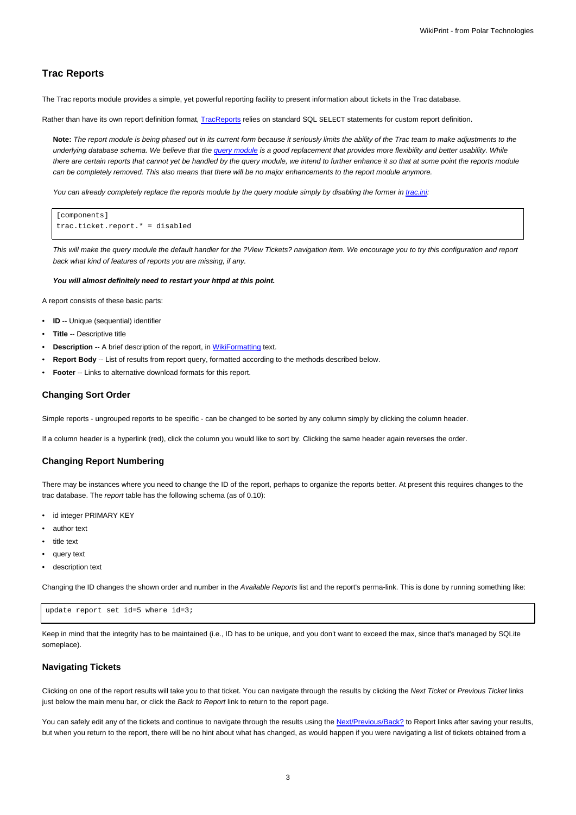### **Trac Reports**

The Trac reports module provides a simple, yet powerful reporting facility to present information about tickets in the Trac database.

Rather than have its own report definition format, [TracReports](https://meteo.unican.es/trac/wiki/TracReports) relies on standard SQL SELECT statements for custom report definition.

**Note:** The report module is being phased out in its current form because it seriously limits the ability of the Trac team to make adjustments to the underlying database schema. We believe that the [query module](https://meteo.unican.es/trac/wiki/TracQuery) is a good replacement that provides more flexibility and better usability. While there are certain reports that cannot yet be handled by the query module, we intend to further enhance it so that at some point the reports module can be completely removed. This also means that there will be no major enhancements to the report module anymore.

You can already completely replace the reports module by the query module simply by disabling the former in [trac.ini:](https://meteo.unican.es/trac/wiki/TracIni)

```
[components]
trac.ticket.report.* = disabled
```
This will make the query module the default handler for the ?View Tickets? navigation item. We encourage you to try this configuration and report back what kind of features of reports you are missing, if any.

#### **You will almost definitely need to restart your httpd at this point.**

A report consists of these basic parts:

- **ID** -- Unique (sequential) identifier
- **Title** -- Descriptive title
- **Description** -- A brief description of the report, in [WikiFormatting](https://meteo.unican.es/trac/wiki/WikiFormatting) text.
- **Report Body** -- List of results from report query, formatted according to the methods described below.
- **Footer** -- Links to alternative download formats for this report.

### **Changing Sort Order**

Simple reports - ungrouped reports to be specific - can be changed to be sorted by any column simply by clicking the column header.

If a column header is a hyperlink (red), click the column you would like to sort by. Clicking the same header again reverses the order.

### **Changing Report Numbering**

There may be instances where you need to change the ID of the report, perhaps to organize the reports better. At present this requires changes to the trac database. The report table has the following schema (as of 0.10):

- id integer PRIMARY KEY
- author text
- title text
- query text
- description text

Changing the ID changes the shown order and number in the Available Reports list and the report's perma-link. This is done by running something like:

update report set id=5 where id=3;

Keep in mind that the integrity has to be maintained (i.e., ID has to be unique, and you don't want to exceed the max, since that's managed by SQLite someplace).

### **Navigating Tickets**

Clicking on one of the report results will take you to that ticket. You can navigate through the results by clicking the Next Ticket or Previous Ticket links just below the main menu bar, or click the Back to Report link to return to the report page.

You can safely edit any of the tickets and continue to navigate through the results using the Next/Previous/Back? to Report links after saving your results, but when you return to the report, there will be no hint about what has changed, as would happen if you were navigating a list of tickets obtained from a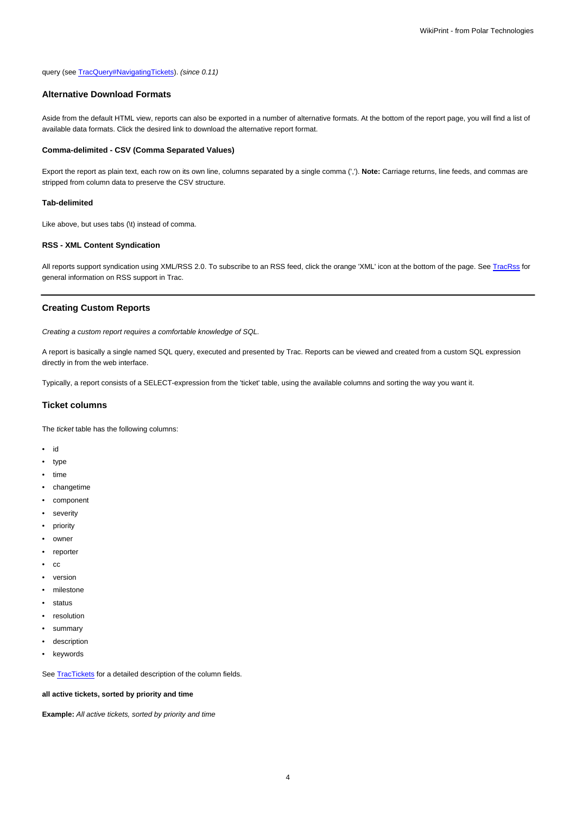### query (see [TracQuery#NavigatingTickets\)](https://meteo.unican.es/trac/wiki/TracQuery#NavigatingTickets). (since 0.11)

### **Alternative Download Formats**

Aside from the default HTML view, reports can also be exported in a number of alternative formats. At the bottom of the report page, you will find a list of available data formats. Click the desired link to download the alternative report format.

### **Comma-delimited - CSV (Comma Separated Values)**

Export the report as plain text, each row on its own line, columns separated by a single comma (','). **Note:** Carriage returns, line feeds, and commas are stripped from column data to preserve the CSV structure.

#### **Tab-delimited**

Like above, but uses tabs (\t) instead of comma.

### **RSS - XML Content Syndication**

All reports support syndication using XML/RSS 2.0. To subscribe to an RSS feed, click the orange 'XML' icon at the bottom of the page. See [TracRss](https://meteo.unican.es/trac/wiki/TracRss) for general information on RSS support in Trac.

### **Creating Custom Reports**

Creating a custom report requires a comfortable knowledge of SQL.

A report is basically a single named SQL query, executed and presented by Trac. Reports can be viewed and created from a custom SQL expression directly in from the web interface.

Typically, a report consists of a SELECT-expression from the 'ticket' table, using the available columns and sorting the way you want it.

### **Ticket columns**

The ticket table has the following columns:

- id
- type
- time
- changetime
- component
- severity
- priority
- owner
- reporter
- cc
- version
- milestone
- status
- resolution
- summary
- description
- keywords

See [TracTickets](https://meteo.unican.es/trac/wiki/TracTickets) for a detailed description of the column fields.

### **all active tickets, sorted by priority and time**

**Example:** All active tickets, sorted by priority and time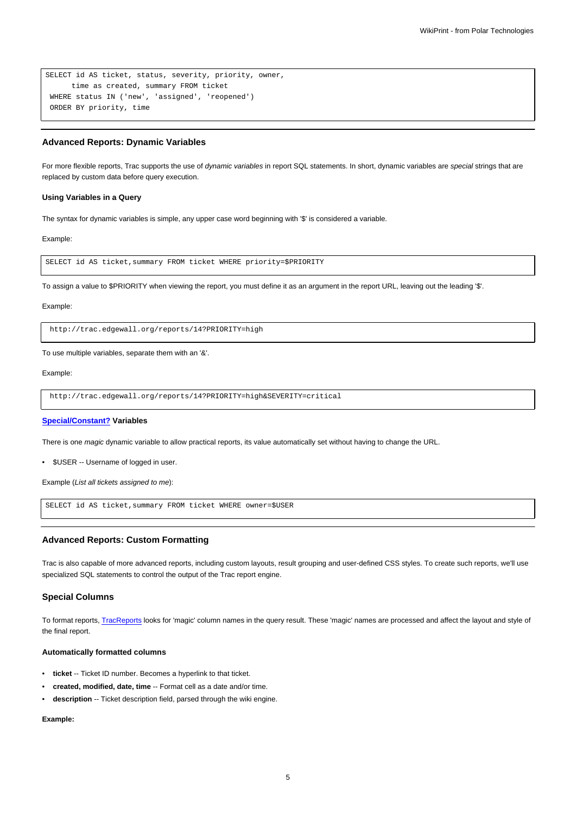```
SELECT id AS ticket, status, severity, priority, owner,
     time as created, summary FROM ticket
WHERE status IN ('new', 'assigned', 'reopened')
ORDER BY priority, time
```
### **Advanced Reports: Dynamic Variables**

For more flexible reports, Trac supports the use of dynamic variables in report SQL statements. In short, dynamic variables are special strings that are replaced by custom data before query execution.

#### **Using Variables in a Query**

The syntax for dynamic variables is simple, any upper case word beginning with '\$' is considered a variable.

#### Example:

SELECT id AS ticket,summary FROM ticket WHERE priority=\$PRIORITY

To assign a value to \$PRIORITY when viewing the report, you must define it as an argument in the report URL, leaving out the leading '\$'.

#### Example:

http://trac.edgewall.org/reports/14?PRIORITY=high

#### To use multiple variables, separate them with an '&'.

#### Example:

http://trac.edgewall.org/reports/14?PRIORITY=high&SEVERITY=critical

#### **Special/Constant? Variables**

There is one magic dynamic variable to allow practical reports, its value automatically set without having to change the URL.

• \$USER -- Username of logged in user.

Example (List all tickets assigned to me):

SELECT id AS ticket,summary FROM ticket WHERE owner=\$USER

### **Advanced Reports: Custom Formatting**

Trac is also capable of more advanced reports, including custom layouts, result grouping and user-defined CSS styles. To create such reports, we'll use specialized SQL statements to control the output of the Trac report engine.

#### **Special Columns**

To format reports, [TracReports](https://meteo.unican.es/trac/wiki/TracReports) looks for 'magic' column names in the query result. These 'magic' names are processed and affect the layout and style of the final report.

### **Automatically formatted columns**

- **ticket** -- Ticket ID number. Becomes a hyperlink to that ticket.
- **created, modified, date, time** -- Format cell as a date and/or time.
- **description** -- Ticket description field, parsed through the wiki engine.

#### **Example:**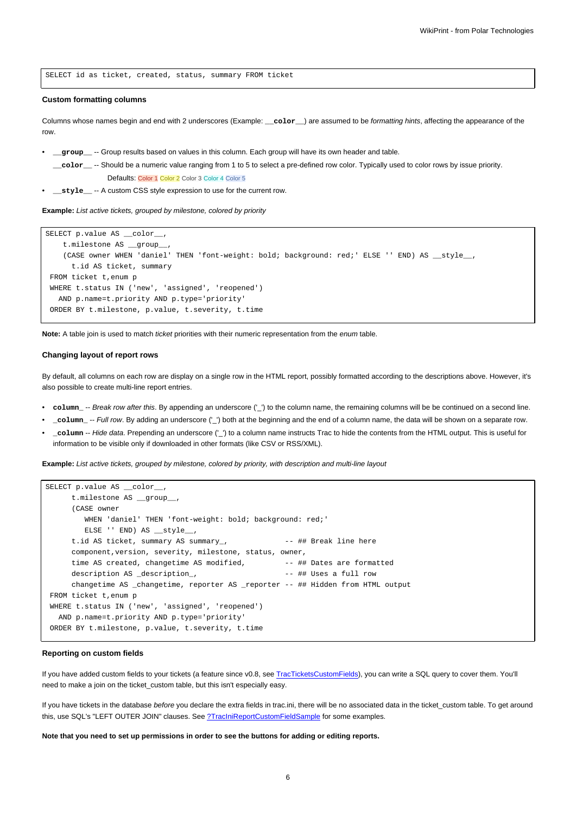SELECT id as ticket, created, status, summary FROM ticket

#### **Custom formatting columns**

Columns whose names begin and end with 2 underscores (Example: **\_\_color\_\_**) are assumed to be formatting hints, affecting the appearance of the row.

- **\_\_group\_\_** -- Group results based on values in this column. Each group will have its own header and table.
- **\_\_color\_\_** -- Should be a numeric value ranging from 1 to 5 to select a pre-defined row color. Typically used to color rows by issue priority. Defaults: Color 1 Color 2 Color 3 Color 4 Color 5
- **\_\_style\_\_ --** A custom CSS style expression to use for the current row.

**Example:** List active tickets, grouped by milestone, colored by priority

```
SELECT p.value AS __color__,
   t.milestone AS __group__,
   (CASE owner WHEN 'daniel' THEN 'font-weight: bold; background: red;' ELSE '' END) AS __style__,
     t.id AS ticket, summary
FROM ticket t,enum p
WHERE t.status IN ('new', 'assigned', 'reopened')
  AND p.name=t.priority AND p.type='priority'
ORDER BY t.milestone, p.value, t.severity, t.time
```
**Note:** A table join is used to match ticket priorities with their numeric representation from the enum table.

#### **Changing layout of report rows**

By default, all columns on each row are display on a single row in the HTML report, possibly formatted according to the descriptions above. However, it's also possible to create multi-line report entries.

- **column\_** -- Break row after this. By appending an underscore ('\_') to the column name, the remaining columns will be be continued on a second line.
- **\_column\_** -- Full row. By adding an underscore ('\_') both at the beginning and the end of a column name, the data will be shown on a separate row.
- **\_column** -- Hide data. Prepending an underscore ('\_') to a column name instructs Trac to hide the contents from the HTML output. This is useful for information to be visible only if downloaded in other formats (like CSV or RSS/XML).

**Example:** List active tickets, grouped by milestone, colored by priority, with description and multi-line layout

```
SELECT p.value AS __color
     t.milestone AS __group__,
     (CASE owner
        WHEN 'daniel' THEN 'font-weight: bold; background: red;'
        ELSE '' END) AS style
     t.id AS ticket, summary AS summary_, -- ## Break line here
     component,version, severity, milestone, status, owner,
     time AS created, changetime AS modified, - + ## Dates are formatted
     description AS _description_, - +# Uses a full row
     changetime AS _changetime, reporter AS _reporter -- ## Hidden from HTML output
FROM ticket t,enum p
WHERE t.status IN ('new', 'assigned', 'reopened')
  AND p.name=t.priority AND p.type='priority'
ORDER BY t.milestone, p.value, t.severity, t.time
```
#### **Reporting on custom fields**

If you have added custom fields to your tickets (a feature since v0.8, see [TracTicketsCustomFields](https://meteo.unican.es/trac/wiki/TracTicketsCustomFields)), you can write a SQL query to cover them. You'll need to make a join on the ticket custom table, but this isn't especially easy.

If you have tickets in the database before you declare the extra fields in trac.ini, there will be no associated data in the ticket\_custom table. To get around this, use SQL's "LEFT OUTER JOIN" clauses. See [?TracIniReportCustomFieldSample](http://trac.edgewall.org/intertrac/TracIniReportCustomFieldSample) for some examples.

**Note that you need to set up permissions in order to see the buttons for adding or editing reports.**